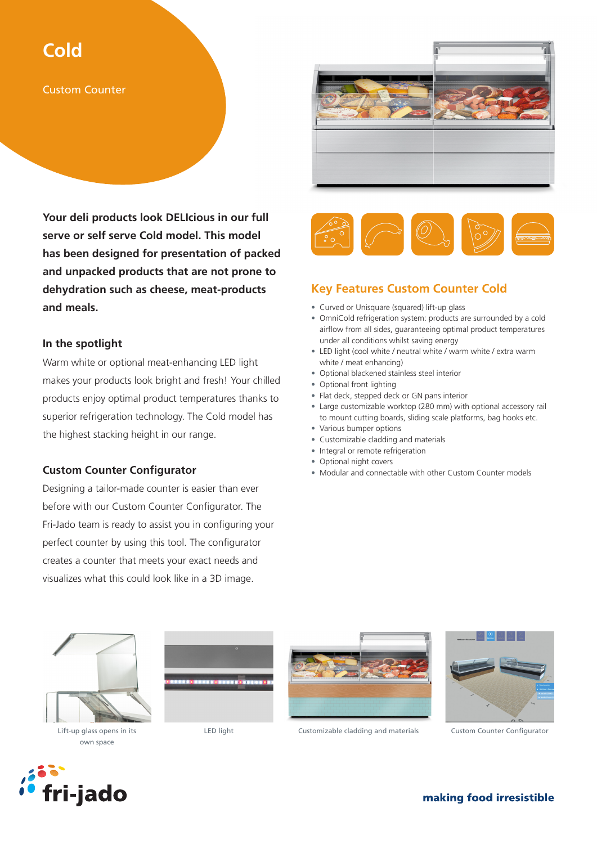## **Cold**

Custom Counter

**Your deli products look DELIcious in our full serve or self serve Cold model. This model has been designed for presentation of packed and unpacked products that are not prone to dehydration such as cheese, meat-products and meals.** 

## **In the spotlight**

Warm white or optional meat-enhancing LED light makes your products look bright and fresh! Your chilled products enjoy optimal product temperatures thanks to superior refrigeration technology. The Cold model has the highest stacking height in our range.

## **Custom Counter Configurator**

Designing a tailor-made counter is easier than ever before with our Custom Counter Configurator. The Fri-Jado team is ready to assist you in configuring your perfect counter by using this tool. The configurator creates a counter that meets your exact needs and visualizes what this could look like in a 3D image.





## **Key Features Custom Counter Cold**

- Curved or Unisquare (squared) lift-up glass
- OmniCold refrigeration system: products are surrounded by a cold airflow from all sides, guaranteeing optimal product temperatures under all conditions whilst saving energy
- LED light (cool white / neutral white / warm white / extra warm white / meat enhancing)
- Optional blackened stainless steel interior
- Optional front lighting
- Flat deck, stepped deck or GN pans interior
- Large customizable worktop (280 mm) with optional accessory rail to mount cutting boards, sliding scale platforms, bag hooks etc.
- Various bumper options
- Customizable cladding and materials
- Integral or remote refrigeration
- Optional night covers
- Modular and connectable with other Custom Counter models



own space





Lift-up glass opens in its LED light Customizable cladding and materials



Custom Counter Configurator



making food irresistible